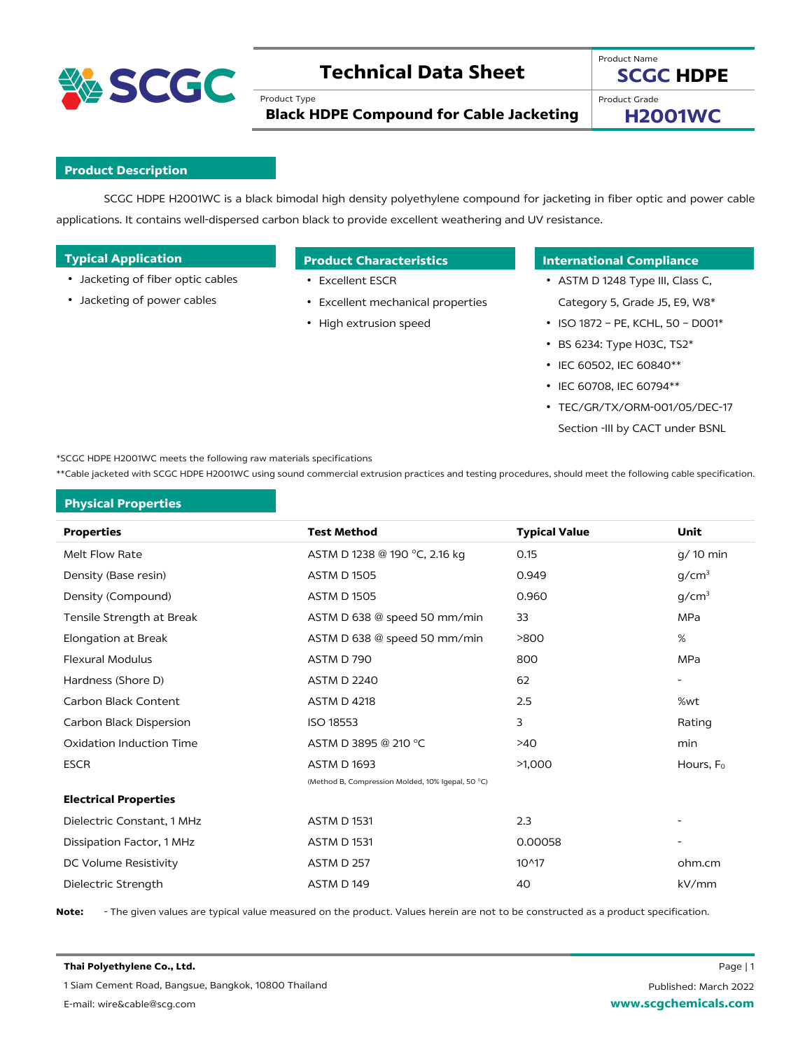

# **Technical Data Sheet**

Product Type

**SCGC HDPE**

Product Name

**Black HDPE Compound for Cable Jacketing**

Product Grade

**H2001WC**

## **Product Description**

SCGC HDPE H2001WC is a black bimodal high density polyethylene compound for jacketing in fiber optic and power cable applications. It contains well-dispersed carbon black to provide excellent weathering and UV resistance.

| <b>Typical Application</b> |
|----------------------------|
|----------------------------|

- Jacketing of fiber optic cables
- Jacketing of power cables

- Excellent ESCR
- Excellent mechanical properties
- High extrusion speed

# **Typical Applications Product Characteristics International Compliance**

- ASTM D 1248 Type III, Class C, Category 5, Grade J5, E9, W8\*
- ISO 1872 PE, KCHL, 50 D001\*
- BS 6234: Type H03C, TS2\*
- IEC 60502, IEC 60840\*\*
- IEC 60708, IEC 60794\*\*
- TEC/GR/TX/ORM-001/05/DEC-17 Section -III by CACT under BSNL

\*SCGC HDPE H2001WC meets the following raw materials specifications

\*\*Cable jacketed with SCGC HDPE H2001WC using sound commercial extrusion practices and testing procedures, should meet the following cable specification.

## **Physical Properties**

| <b>Properties</b>            | <b>Test Method</b>                                | <b>Typical Value</b> | Unit                     |
|------------------------------|---------------------------------------------------|----------------------|--------------------------|
| Melt Flow Rate               | ASTM D 1238 @ 190 °C, 2.16 kg                     | 0.15                 | g/ 10 min                |
| Density (Base resin)         | <b>ASTM D 1505</b>                                | 0.949                | g/cm <sup>3</sup>        |
| Density (Compound)           | <b>ASTM D 1505</b>                                | 0.960                | g/cm <sup>3</sup>        |
| Tensile Strength at Break    | ASTM D 638 @ speed 50 mm/min                      | 33                   | MPa                      |
| Elongation at Break          | ASTM D 638 @ speed 50 mm/min                      | >800                 | %                        |
| <b>Flexural Modulus</b>      | ASTM D 790                                        | 800                  | <b>MPa</b>               |
| Hardness (Shore D)           | <b>ASTM D 2240</b>                                | 62                   | $\overline{\phantom{a}}$ |
| Carbon Black Content         | <b>ASTM D 4218</b>                                | 2.5                  | %wt                      |
| Carbon Black Dispersion      | <b>ISO 18553</b>                                  | 3                    | Rating                   |
| Oxidation Induction Time     | ASTM D 3895 @ 210 °C                              | $>40$                | min                      |
| <b>ESCR</b>                  | <b>ASTM D 1693</b>                                | >1,000               | Hours, F <sub>0</sub>    |
|                              | (Method B, Compression Molded, 10% Igepal, 50 °C) |                      |                          |
| <b>Electrical Properties</b> |                                                   |                      |                          |
| Dielectric Constant, 1 MHz   | <b>ASTM D 1531</b>                                | 2.3                  | $\overline{\phantom{a}}$ |
| Dissipation Factor, 1 MHz    | <b>ASTM D 1531</b>                                | 0.00058              |                          |
| DC Volume Resistivity        | ASTM D 257                                        | $10^{4}17$           | ohm.cm                   |
| Dielectric Strength          | ASTM D149                                         | 40                   | kV/mm                    |

**Note:** - The given values are typical value measured on the product. Values herein are not to be constructed as a product specification.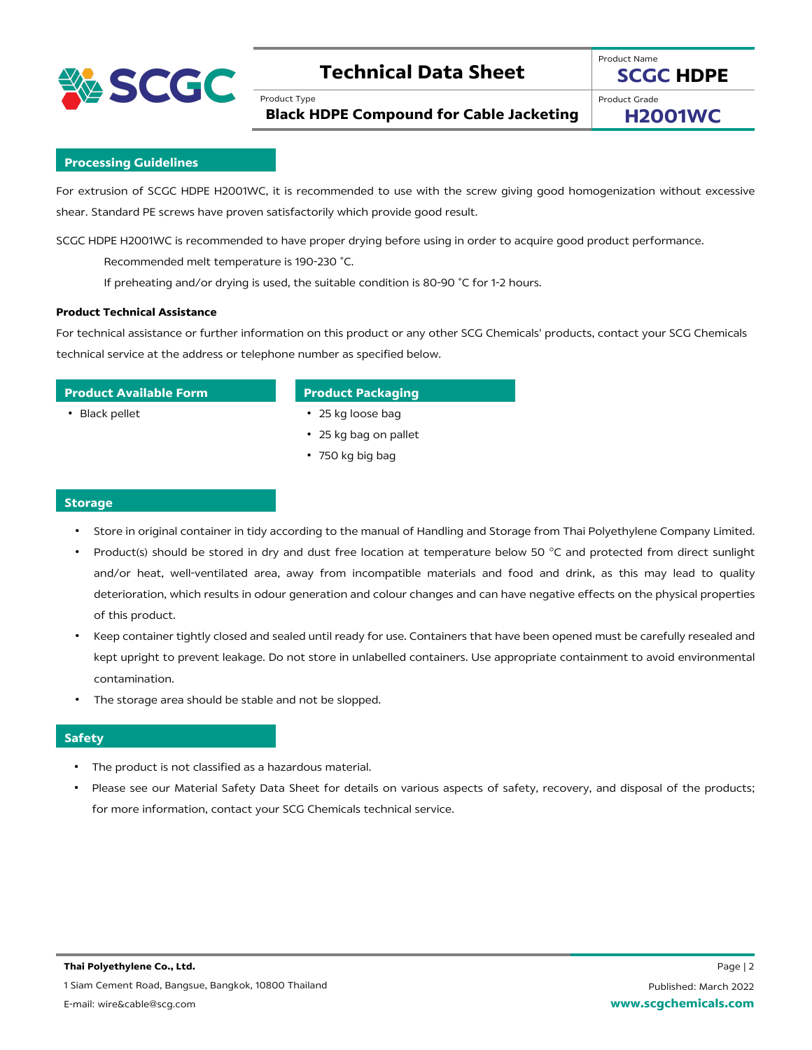

# **Technical Data Sheet**

Product Type

**SCGC HDPE**

**Black HDPE Compound for Cable Jacketing**

Product Grade **H2001WC**

Product Name

**Processing Guidelines**

For extrusion of SCGC HDPE H2001WC, it is recommended to use with the screw giving good homogenization without excessive shear. Standard PE screws have proven satisfactorily which provide good result.

SCGC HDPE H2001WC is recommended to have proper drying before using in order to acquire good product performance.

Recommended melt temperature is 190-230 ˚C.

If preheating and/or drying is used, the suitable condition is 80-90 ˚C for 1-2 hours.

### **Product Technical Assistance**

For technical assistance or further information on this product or any other SCG Chemicals' products, contact your SCG Chemicals technical service at the address or telephone number as specified below.

## **Product Available Form Product Packaging**

- Black pellet 25 kg loose bag
	- 25 kg bag on pallet
	- 750 kg big bag

### **Storage**

- Store in original container in tidy according to the manual of Handling and Storage from Thai Polyethylene Company Limited.
- Product(s) should be stored in dry and dust free location at temperature below 50 °C and protected from direct sunlight and/or heat, well-ventilated area, away from incompatible materials and food and drink, as this may lead to quality deterioration, which results in odour generation and colour changes and can have negative effects on the physical properties of this product.
- Keep container tightly closed and sealed until ready for use. Containers that have been opened must be carefully resealed and kept upright to prevent leakage. Do not store in unlabelled containers. Use appropriate containment to avoid environmental contamination.
- The storage area should be stable and not be slopped.

### **Safety**

- The product is not classified as a hazardous material.
- Please see our Material Safety Data Sheet for details on various aspects of safety, recovery, and disposal of the products; for more information, contact your SCG Chemicals technical service.